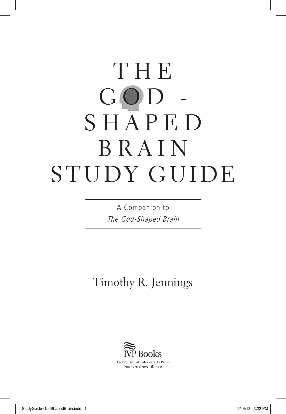# T H E  $GOD$ S H A P E D BRAIN STUDY GUIDE

A Companion to The God-Shaped Brain

Timothy R. Jennings

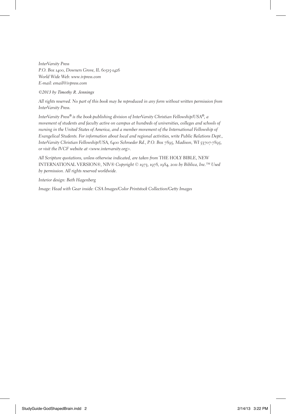*InterVarsity Press P.O. Box 1400, Downers Grove, IL 60515-1426 World Wide Web: www.ivpress.com E-mail: email@ivpress.com*

#### *©2013 by Timothy R. Jennings*

*All rights reserved. No part of this book may be reproduced in any form without written permission from InterVarsity Press.*

*InterVarsity Press® is the book-publishing division of InterVarsity Christian Fellowship/USA®, a movement of students and faculty active on campus at hundreds of universities, colleges and schools of nursing in the United States of America, and a member movement of the International Fellowship of Evangelical Students. For information about local and regional activities, write Public Relations Dept., InterVarsity Christian Fellowship/USA, 6400 Schroeder Rd., P.O. Box 7895, Madison, WI 53707-7895, or visit the IVCF website at <www.intervarsity.org>.*

*All Scripture quotations, unless otherwise indicated, are taken from* THE HOLY BIBLE, NEW INTERNATIONAL VERSION®, NIV® *Copyright © 1973, 1978, 1984, 2011 by Biblica, Inc.™ Used by permission. All rights reserved worldwide.*

*Interior design: Beth Hagenberg*

*Image: Head with Gear inside: CSA Images/Color Printstock Collection/Getty Images*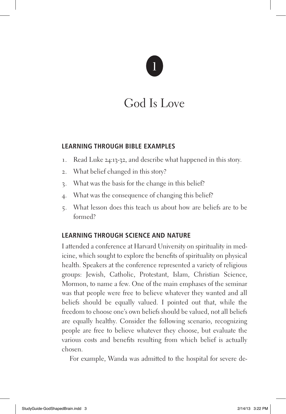### God Is Love

#### **Learning Through Bible Examples**

- 1. Read Luke 24:13-32, and describe what happened in this story.
- 2. What belief changed in this story?
- 3. What was the basis for the change in this belief?
- 4. What was the consequence of changing this belief?
- 5. What lesson does this teach us about how are beliefs are to be formed?

### **Learning Through Science and Nature**

I attended a conference at Harvard University on spirituality in medicine, which sought to explore the benefits of spirituality on physical health. Speakers at the conference represented a variety of religious groups: Jewish, Catholic, Protestant, Islam, Christian Science, Mormon, to name a few. One of the main emphases of the seminar was that people were free to believe whatever they wanted and all beliefs should be equally valued. I pointed out that, while the freedom to choose one's own beliefs should be valued, not all beliefs are equally healthy. Consider the following scenario, recognizing people are free to believe whatever they choose, but evaluate the various costs and benefits resulting from which belief is actually chosen.

For example, Wanda was admitted to the hospital for severe de-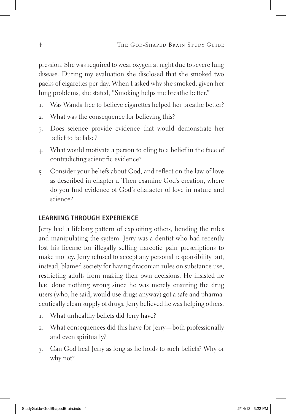pression. She was required to wear oxygen at night due to severe lung disease. During my evaluation she disclosed that she smoked two packs of cigarettes per day. When I asked why she smoked, given her lung problems, she stated, "Smoking helps me breathe better."

- 1. Was Wanda free to believe cigarettes helped her breathe better?
- 2. What was the consequence for believing this?
- 3. Does science provide evidence that would demonstrate her belief to be false?
- 4. What would motivate a person to cling to a belief in the face of contradicting scientific evidence?
- 5. Consider your beliefs about God, and reflect on the law of love as described in chapter 1. Then examine God's creation, where do you find evidence of God's character of love in nature and science?

### **Learning Through Experience**

Jerry had a lifelong pattern of exploiting others, bending the rules and manipulating the system. Jerry was a dentist who had recently lost his license for illegally selling narcotic pain prescriptions to make money. Jerry refused to accept any personal responsibility but, instead, blamed society for having draconian rules on substance use, restricting adults from making their own decisions. He insisted he had done nothing wrong since he was merely ensuring the drug users (who, he said, would use drugs anyway) got a safe and pharmaceutically clean supply of drugs. Jerry believed he was helping others.

- 1. What unhealthy beliefs did Jerry have?
- 2. What consequences did this have for Jerry—both professionally and even spiritually?
- 3. Can God heal Jerry as long as he holds to such beliefs? Why or why not?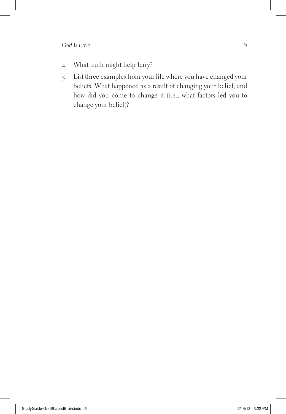- 4. What truth might help Jerry?
- 5. List three examples from your life where you have changed your beliefs. What happened as a result of changing your belief, and how did you come to change it (i.e., what factors led you to change your belief)?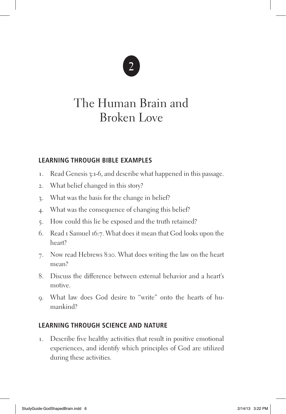### The Human Brain and Broken Love

### **Learning Through Bible Examples**

- 1. Read Genesis 3:1-6, and describe what happened in this passage.
- 2. What belief changed in this story?
- 3. What was the basis for the change in belief?
- 4. What was the consequence of changing this belief?
- 5. How could this lie be exposed and the truth retained?
- 6. Read 1 Samuel 16:7. What does it mean that God looks upon the heart?
- 7. Now read Hebrews 8:10. What does writing the law on the heart mean?
- 8. Discuss the difference between external behavior and a heart's motive.
- 9. What law does God desire to "write" onto the hearts of humankind?

### **Learning Through Science and Nature**

1. Describe five healthy activities that result in positive emotional experiences, and identify which principles of God are utilized during these activities.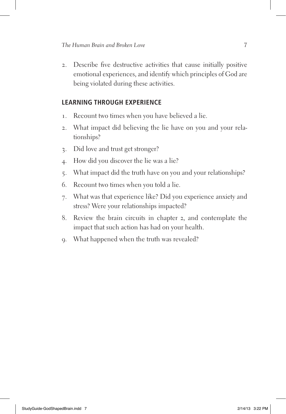2. Describe five destructive activities that cause initially positive emotional experiences, and identify which principles of God are being violated during these activities.

- 1. Recount two times when you have believed a lie.
- 2. What impact did believing the lie have on you and your relationships?
- 3. Did love and trust get stronger?
- 4. How did you discover the lie was a lie?
- 5. What impact did the truth have on you and your relationships?
- 6. Recount two times when you told a lie.
- 7. What was that experience like? Did you experience anxiety and stress? Were your relationships impacted?
- 8. Review the brain circuits in chapter 2, and contemplate the impact that such action has had on your health.
- 9. What happened when the truth was revealed?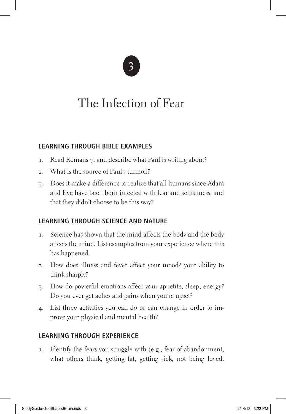### The Infection of Fear

### **Learning Through Bible Examples**

- 1. Read Romans 7, and describe what Paul is writing about?
- 2. What is the source of Paul's turmoil?
- 3. Does it make a difference to realize that all humans since Adam and Eve have been born infected with fear and selfishness, and that they didn't choose to be this way?

### **Learning Through Science and Nature**

- 1. Science has shown that the mind affects the body and the body affects the mind. List examples from your experience where this has happened.
- 2. How does illness and fever affect your mood? your ability to think sharply?
- 3. How do powerful emotions affect your appetite, sleep, energy? Do you ever get aches and pains when you're upset?
- 4. List three activities you can do or can change in order to improve your physical and mental health?

### **Learning Through Experience**

1. Identify the fears you struggle with (e.g., fear of abandonment, what others think, getting fat, getting sick, not being loved,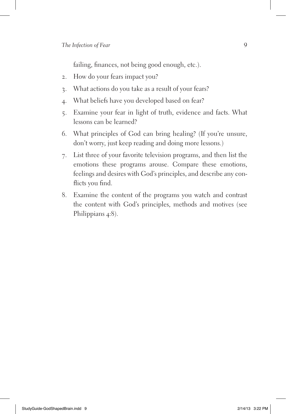failing, finances, not being good enough, etc.).

- 2. How do your fears impact you?
- 3. What actions do you take as a result of your fears?
- 4. What beliefs have you developed based on fear?
- 5. Examine your fear in light of truth, evidence and facts. What lessons can be learned?
- 6. What principles of God can bring healing? (If you're unsure, don't worry, just keep reading and doing more lessons.)
- 7. List three of your favorite television programs, and then list the emotions these programs arouse. Compare these emotions, feelings and desires with God's principles, and describe any conflicts you find.
- 8. Examine the content of the programs you watch and contrast the content with God's principles, methods and motives (see Philippians 4:8).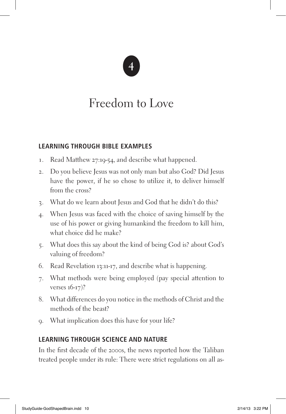### Freedom to Love

### **Learning Through Bible Examples**

- 1. Read Matthew 27:19-54, and describe what happened.
- 2. Do you believe Jesus was not only man but also God? Did Jesus have the power, if he so chose to utilize it, to deliver himself from the cross?
- 3. What do we learn about Jesus and God that he didn't do this?
- 4. When Jesus was faced with the choice of saving himself by the use of his power or giving humankind the freedom to kill him, what choice did he make?
- 5. What does this say about the kind of being God is? about God's valuing of freedom?
- 6. Read Revelation 13:11-17, and describe what is happening.
- 7. What methods were being employed (pay special attention to verses 16-17)?
- 8. What differences do you notice in the methods of Christ and the methods of the beast?
- 9. What implication does this have for your life?

### **Learning Through Science and Nature**

In the first decade of the 2000s, the news reported how the Taliban treated people under its rule: There were strict regulations on all as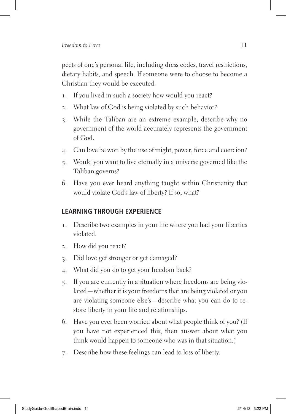pects of one's personal life, including dress codes, travel restrictions, dietary habits, and speech. If someone were to choose to become a Christian they would be executed.

- 1. If you lived in such a society how would you react?
- 2. What law of God is being violated by such behavior?
- 3. While the Taliban are an extreme example, describe why no government of the world accurately represents the government of God.
- 4. Can love be won by the use of might, power, force and coercion?
- 5. Would you want to live eternally in a universe governed like the Taliban governs?
- 6. Have you ever heard anything taught within Christianity that would violate God's law of liberty? If so, what?

- 1. Describe two examples in your life where you had your liberties violated.
- 2. How did you react?
- 3. Did love get stronger or get damaged?
- 4. What did you do to get your freedom back?
- 5. If you are currently in a situation where freedoms are being violated—whether it is your freedoms that are being violated or you are violating someone else's—describe what you can do to restore liberty in your life and relationships.
- 6. Have you ever been worried about what people think of you? (If you have not experienced this, then answer about what you think would happen to someone who was in that situation.)
- 7. Describe how these feelings can lead to loss of liberty.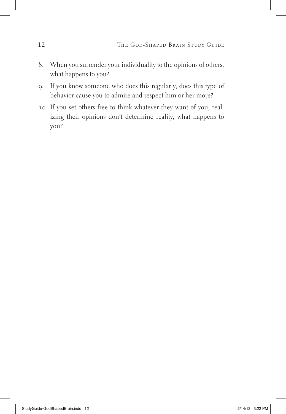- 8. When you surrender your individuality to the opinions of others, what happens to you?
- 9. If you know someone who does this regularly, does this type of behavior cause you to admire and respect him or her more?
- 10. If you set others free to think whatever they want of you, realizing their opinions don't determine reality, what happens to you?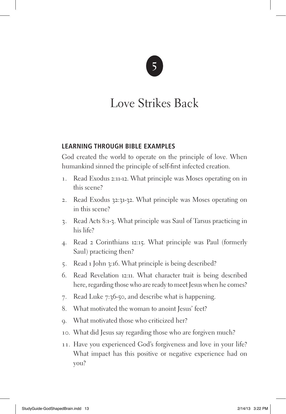### Love Strikes Back

#### **Learning Through Bible Examples**

God created the world to operate on the principle of love. When humankind sinned the principle of self-first infected creation.

- 1. Read Exodus 2:11-12. What principle was Moses operating on in this scene?
- 2. Read Exodus 32:31-32. What principle was Moses operating on in this scene?
- 3. Read Acts 8:1-3. What principle was Saul of Tarsus practicing in his life?
- 4. Read 2 Corinthians 12:15. What principle was Paul (formerly Saul) practicing then?
- 5. Read 1 John 3:16. What principle is being described?
- 6. Read Revelation 12:11. What character trait is being described here, regarding those who are ready to meet Jesus when he comes?
- 7. Read Luke 7:36-50, and describe what is happening.
- 8. What motivated the woman to anoint Jesus' feet?
- 9. What motivated those who criticized her?
- 10. What did Jesus say regarding those who are forgiven much?
- 11. Have you experienced God's forgiveness and love in your life? What impact has this positive or negative experience had on you?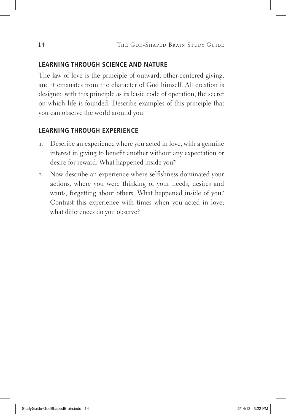#### **Learning Through Science and Nature**

The law of love is the principle of outward, other-centered giving, and it emanates from the character of God himself. All creation is designed with this principle as its basic code of operation, the secret on which life is founded. Describe examples of this principle that you can observe the world around you.

- 1. Describe an experience where you acted in love, with a genuine interest in giving to benefit another without any expectation or desire for reward. What happened inside you?
- 2. Now describe an experience where selfishness dominated your actions, where you were thinking of your needs, desires and wants, forgetting about others. What happened inside of you? Contrast this experience with times when you acted in love; what differences do you observe?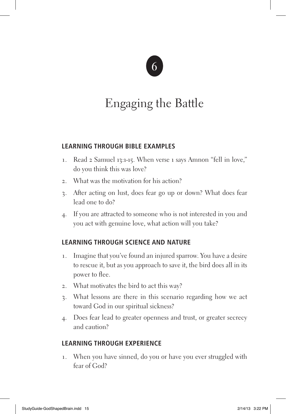

### Engaging the Battle

#### **Learning Through Bible Examples**

- 1. Read 2 Samuel 13:1-15. When verse 1 says Amnon "fell in love," do you think this was love?
- 2. What was the motivation for his action?
- 3. After acting on lust, does fear go up or down? What does fear lead one to do?
- 4. If you are attracted to someone who is not interested in you and you act with genuine love, what action will you take?

### **Learning Through Science and Nature**

- 1. Imagine that you've found an injured sparrow. You have a desire to rescue it, but as you approach to save it, the bird does all in its power to flee.
- 2. What motivates the bird to act this way?
- 3. What lessons are there in this scenario regarding how we act toward God in our spiritual sickness?
- 4. Does fear lead to greater openness and trust, or greater secrecy and caution?

### **Learning Through Experience**

1. When you have sinned, do you or have you ever struggled with fear of God?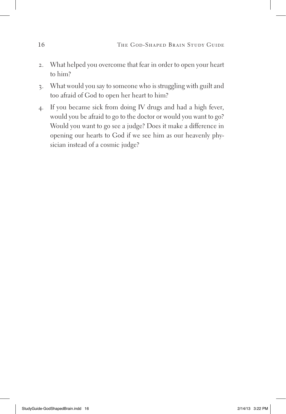- 2. What helped you overcome that fear in order to open your heart to him?
- 3. What would you say to someone who is struggling with guilt and too afraid of God to open her heart to him?
- 4. If you became sick from doing IV drugs and had a high fever, would you be afraid to go to the doctor or would you want to go? Would you want to go see a judge? Does it make a difference in opening our hearts to God if we see him as our heavenly physician instead of a cosmic judge?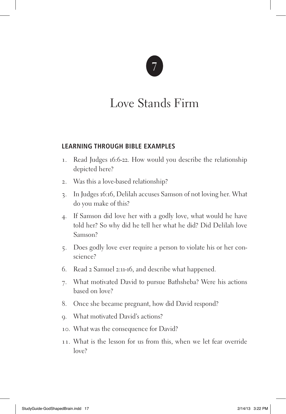### Love Stands Firm

#### **Learning Through Bible Examples**

- 1. Read Judges 16:6-22. How would you describe the relationship depicted here?
- 2. Was this a love-based relationship?
- 3. In Judges 16:16, Delilah accuses Samson of not loving her. What do you make of this?
- 4. If Samson did love her with a godly love, what would he have told her? So why did he tell her what he did? Did Delilah love Samson?
- 5. Does godly love ever require a person to violate his or her conscience?
- 6. Read 2 Samuel 2:11-16, and describe what happened.
- 7. What motivated David to pursue Bathsheba? Were his actions based on love?
- 8. Once she became pregnant, how did David respond?
- 9. What motivated David's actions?
- 10. What was the consequence for David?
- 11. What is the lesson for us from this, when we let fear override love?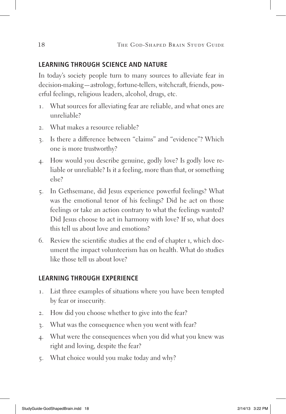#### **Learning Through Science and Nature**

In today's society people turn to many sources to alleviate fear in decision-making—astrology, fortune-tellers, witchcraft, friends, powerful feelings, religious leaders, alcohol, drugs, etc.

- 1. What sources for alleviating fear are reliable, and what ones are unreliable?
- 2. What makes a resource reliable?
- 3. Is there a difference between "claims" and "evidence"? Which one is more trustworthy?
- 4. How would you describe genuine, godly love? Is godly love reliable or unreliable? Is it a feeling, more than that, or something else?
- 5. In Gethsemane, did Jesus experience powerful feelings? What was the emotional tenor of his feelings? Did he act on those feelings or take an action contrary to what the feelings wanted? Did Jesus choose to act in harmony with love? If so, what does this tell us about love and emotions?
- 6. Review the scientific studies at the end of chapter 1, which document the impact volunteerism has on health. What do studies like those tell us about love?

- 1. List three examples of situations where you have been tempted by fear or insecurity.
- 2. How did you choose whether to give into the fear?
- 3. What was the consequence when you went with fear?
- 4. What were the consequences when you did what you knew was right and loving, despite the fear?
- 5. What choice would you make today and why?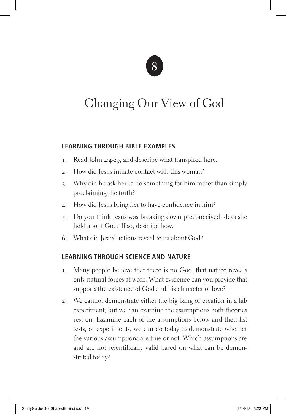### Changing Our View of God

#### **Learning Through Bible Examples**

- 1. Read John 4:4-29, and describe what transpired here.
- 2. How did Jesus initiate contact with this woman?
- 3. Why did he ask her to do something for him rather than simply proclaiming the truth?
- 4. How did Jesus bring her to have confidence in him?
- 5. Do you think Jesus was breaking down preconceived ideas she held about God? If so, describe how.
- 6. What did Jesus' actions reveal to us about God?

### **Learning Through Science and Nature**

- 1. Many people believe that there is no God, that nature reveals only natural forces at work. What evidence can you provide that supports the existence of God and his character of love?
- 2. We cannot demonstrate either the big bang or creation in a lab experiment, but we can examine the assumptions both theories rest on. Examine each of the assumptions below and then list tests, or experiments, we can do today to demonstrate whether the various assumptions are true or not. Which assumptions are and are not scientifically valid based on what can be demonstrated today?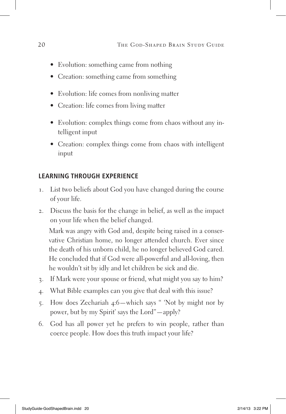- Evolution: something came from nothing
- Creation: something came from something
- Evolution: life comes from nonliving matter
- Creation: life comes from living matter
- Evolution: complex things come from chaos without any intelligent input
- Creation: complex things come from chaos with intelligent input

### **Learning Through Experience**

- 1. List two beliefs about God you have changed during the course of your life.
- 2. Discuss the basis for the change in belief, as well as the impact on your life when the belief changed.

Mark was angry with God and, despite being raised in a conservative Christian home, no longer attended church. Ever since the death of his unborn child, he no longer believed God cared. He concluded that if God were all-powerful and all-loving, then he wouldn't sit by idly and let children be sick and die.

- 3. If Mark were your spouse or friend, what might you say to him?
- 4. What Bible examples can you give that deal with this issue?
- 5. How does Zechariah 4:6—which says " 'Not by might nor by power, but by my Spirit' says the Lord"—apply?
- 6. God has all power yet he prefers to win people, rather than coerce people. How does this truth impact your life?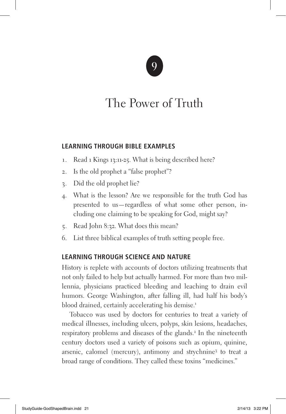### The Power of Truth

#### **Learning Through Bible Examples**

- 1. Read 1 Kings 13:11-25. What is being described here?
- 2. Is the old prophet a "false prophet"?
- 3. Did the old prophet lie?
- 4. What is the lesson? Are we responsible for the truth God has presented to us—regardless of what some other person, including one claiming to be speaking for God, might say?
- 5. Read John 8:32. What does this mean?
- 6. List three biblical examples of truth setting people free.

### **Learning Through Science and Nature**

History is replete with accounts of doctors utilizing treatments that not only failed to help but actually harmed. For more than two millennia, physicians practiced bleeding and leaching to drain evil humors. George Washington, after falling ill, had half his body's blood drained, certainly accelerating his demise.<sup>1</sup>

Tobacco was used by doctors for centuries to treat a variety of medical illnesses, including ulcers, polyps, skin lesions, headaches, respiratory problems and diseases of the glands.<sup>2</sup> In the nineteenth century doctors used a variety of poisons such as opium, quinine, arsenic, calomel (mercury), antimony and strychnine3 to treat a broad range of conditions. They called these toxins "medicines."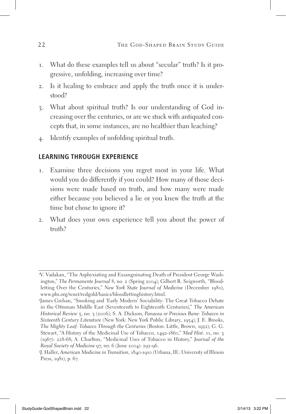- 1. What do these examples tell us about "secular" truth? Is it progressive, unfolding, increasing over time?
- 2. Is it healing to embrace and apply the truth once it is understood?
- 3. What about spiritual truth? Is our understanding of God increasing over the centuries, or are we stuck with antiquated concepts that, in some instances, are no healthier than leaching?
- 4. Identify examples of unfolding spiritual truth.

- 1. Examine three decisions you regret most in your life. What would you do differently if you could? How many of those decisions were made based on truth, and how many were made either because you believed a lie or you knew the truth at the time but chose to ignore it?
- 2. What does your own experience tell you about the power of truth?

<sup>1</sup> V. Vadakan, "The Asphyxiating and Exsanguinating Death of President George Washington," *The Permanente Journal* 8, no. 2 (Spring 2004); Gilbert R. Seigworth, "Bloodletting Over the Centuries," *New York State Journal of Medicine* (December 1980), www.pbs.org/wnet/redgold/basics/bloodlettinghistory.html.

<sup>2</sup> James Grehan, "Smoking and 'Early Modern' Sociability: The Great Tobacco Debate in the Ottoman Middle East (Seventeenth to Eighteenth Centuries)," *The American Historical Review* 5, no. 3 (2006); S. A. Dickson, *Panacea or Precious Bane: Tobacco in Sixteenth Century Literature* (New York: New York Public Library, 1954); J. E. Brooks, *The Mighty Leaf: Tobacco Through the Centuries* (Boston: Little, Brown, 1952); G. G. Stewart, "A History of the Medicinal Use of Tobacco, 1492-1860," *Med Hist.* 11, no. 3 (1967): 228-68; A. Charlton, "Medicinal Uses of Tobacco in History," *Journal of the Royal Society of Medicine* 97, no. 6 (June 2004): 292-96.

<sup>3</sup> J. Haller, *American Medicine in Transition,* 1840-1910 (Urbana, Ill.: University of Illinois Press, 1981), p. 67.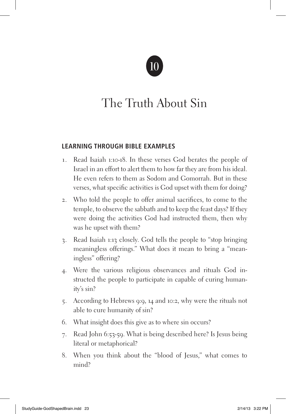

### The Truth About Sin

#### **Learning Through Bible Examples**

- 1. Read Isaiah 1:10-18. In these verses God berates the people of Israel in an effort to alert them to how far they are from his ideal. He even refers to them as Sodom and Gomorrah. But in these verses, what specific activities is God upset with them for doing?
- 2. Who told the people to offer animal sacrifices, to come to the temple, to observe the sabbath and to keep the feast days? If they were doing the activities God had instructed them, then why was he upset with them?
- 3. Read Isaiah 1:13 closely. God tells the people to "stop bringing meaningless offerings." What does it mean to bring a "meaningless" offering?
- 4. Were the various religious observances and rituals God instructed the people to participate in capable of curing humanity's sin?
- 5. According to Hebrews 9:9, 14 and 10:2, why were the rituals not able to cure humanity of sin?
- 6. What insight does this give as to where sin occurs?
- 7. Read John 6:53-59. What is being described here? Is Jesus being literal or metaphorical?
- 8. When you think about the "blood of Jesus," what comes to mind?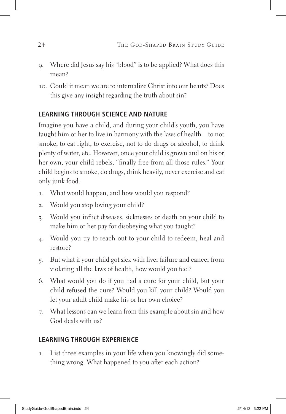- 9. Where did Jesus say his "blood" is to be applied? What does this mean?
- 10. Could it mean we are to internalize Christ into our hearts? Does this give any insight regarding the truth about sin?

### **Learning Through Science and Nature**

Imagine you have a child, and during your child's youth, you have taught him or her to live in harmony with the laws of health—to not smoke, to eat right, to exercise, not to do drugs or alcohol, to drink plenty of water, etc. However, once your child is grown and on his or her own, your child rebels, "finally free from all those rules." Your child begins to smoke, do drugs, drink heavily, never exercise and eat only junk food.

- 1. What would happen, and how would you respond?
- 2. Would you stop loving your child?
- 3. Would you inflict diseases, sicknesses or death on your child to make him or her pay for disobeying what you taught?
- 4. Would you try to reach out to your child to redeem, heal and restore?
- 5. But what if your child got sick with liver failure and cancer from violating all the laws of health, how would you feel?
- 6. What would you do if you had a cure for your child, but your child refused the cure? Would you kill your child? Would you let your adult child make his or her own choice?
- 7. What lessons can we learn from this example about sin and how God deals with us?

### **Learning Through Experience**

1. List three examples in your life when you knowingly did something wrong. What happened to you after each action?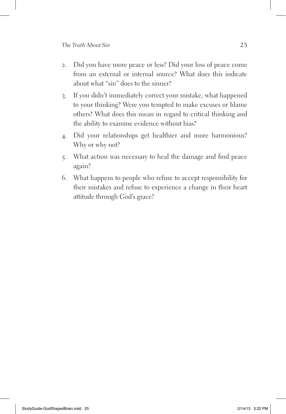- 2. Did you have more peace or less? Did your loss of peace come from an external or internal source? What does this indicate about what "sin" does to the sinner?
- 3. If you didn't immediately correct your mistake, what happened to your thinking? Were you tempted to make excuses or blame others? What does this mean in regard to critical thinking and the ability to examine evidence without bias?
- 4. Did your relationships get healthier and more harmonious? Why or why not?
- 5. What action was necessary to heal the damage and find peace again?
- 6. What happens to people who refuse to accept responsibility for their mistakes and refuse to experience a change in their heart attitude through God's grace?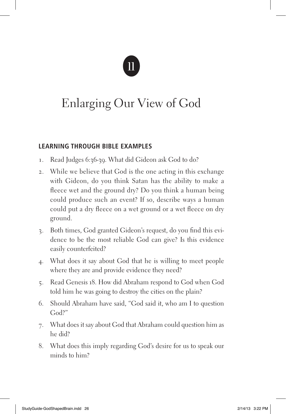### Enlarging Our View of God

### **Learning Through Bible Examples**

- 1. Read Judges 6:36-39. What did Gideon ask God to do?
- 2. While we believe that God is the one acting in this exchange with Gideon, do you think Satan has the ability to make a fleece wet and the ground dry? Do you think a human being could produce such an event? If so, describe ways a human could put a dry fleece on a wet ground or a wet fleece on dry ground.
- 3. Both times, God granted Gideon's request, do you find this evidence to be the most reliable God can give? Is this evidence easily counterfeited?
- 4. What does it say about God that he is willing to meet people where they are and provide evidence they need?
- 5. Read Genesis 18. How did Abraham respond to God when God told him he was going to destroy the cities on the plain?
- 6. Should Abraham have said, "God said it, who am I to question God?"
- 7. What does it say about God that Abraham could question him as he did?
- 8. What does this imply regarding God's desire for us to speak our minds to him?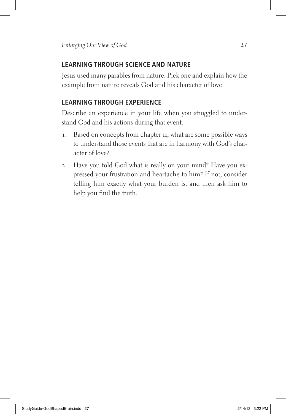### **Learning Through Science and Nature**

Jesus used many parables from nature. Pick one and explain how the example from nature reveals God and his character of love.

### **Learning Through Experience**

Describe an experience in your life when you struggled to understand God and his actions during that event.

- 1. Based on concepts from chapter 11, what are some possible ways to understand those events that are in harmony with God's character of love?
- 2. Have you told God what is really on your mind? Have you expressed your frustration and heartache to him? If not, consider telling him exactly what your burden is, and then ask him to help you find the truth.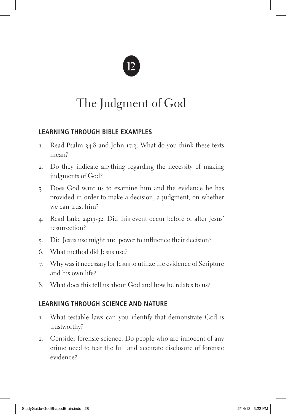### The Judgment of God

### **Learning Through Bible Examples**

- 1. Read Psalm 34:8 and John 17:3. What do you think these texts mean?
- 2. Do they indicate anything regarding the necessity of making judgments of God?
- 3. Does God want us to examine him and the evidence he has provided in order to make a decision, a judgment, on whether we can trust him?
- 4. Read Luke 24:13-32. Did this event occur before or after Jesus' resurrection?
- 5. Did Jesus use might and power to influence their decision?
- 6. What method did Jesus use?
- 7. Why was it necessary for Jesus to utilize the evidence of Scripture and his own life?
- 8. What does this tell us about God and how he relates to us?

### **Learning Through Science and Nature**

- 1. What testable laws can you identify that demonstrate God is trustworthy?
- 2. Consider forensic science. Do people who are innocent of any crime need to fear the full and accurate disclosure of forensic evidence?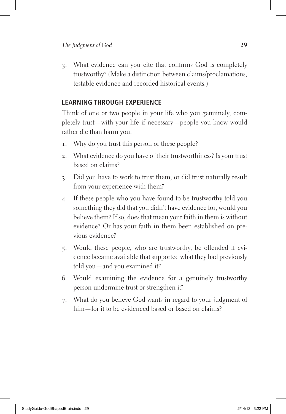3. What evidence can you cite that confirms God is completely trustworthy? (Make a distinction between claims/proclamations, testable evidence and recorded historical events.)

#### **Learning Through Experience**

Think of one or two people in your life who you genuinely, completely trust—with your life if necessary—people you know would rather die than harm you.

- 1. Why do you trust this person or these people?
- 2. What evidence do you have of their trustworthiness? Is your trust based on claims?
- 3. Did you have to work to trust them, or did trust naturally result from your experience with them?
- 4. If these people who you have found to be trustworthy told you something they did that you didn't have evidence for, would you believe them? If so, does that mean your faith in them is without evidence? Or has your faith in them been established on previous evidence?
- 5. Would these people, who are trustworthy, be offended if evidence became available that supported what they had previously told you—and you examined it?
- 6. Would examining the evidence for a genuinely trustworthy person undermine trust or strengthen it?
- 7. What do you believe God wants in regard to your judgment of him—for it to be evidenced based or based on claims?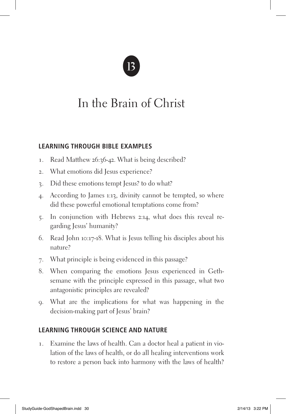### In the Brain of Christ

### **Learning Through Bible Examples**

- 1. Read Matthew 26:36-42. What is being described?
- 2. What emotions did Jesus experience?
- 3. Did these emotions tempt Jesus? to do what?
- 4. According to James 1:13, divinity cannot be tempted, so where did these powerful emotional temptations come from?
- 5. In conjunction with Hebrews 2:14, what does this reveal regarding Jesus' humanity?
- 6. Read John 10:17-18. What is Jesus telling his disciples about his nature?
- 7. What principle is being evidenced in this passage?
- 8. When comparing the emotions Jesus experienced in Gethsemane with the principle expressed in this passage, what two antagonistic principles are revealed?
- 9. What are the implications for what was happening in the decision-making part of Jesus' brain?

### **Learning Through Science and Nature**

1. Examine the laws of health. Can a doctor heal a patient in violation of the laws of health, or do all healing interventions work to restore a person back into harmony with the laws of health?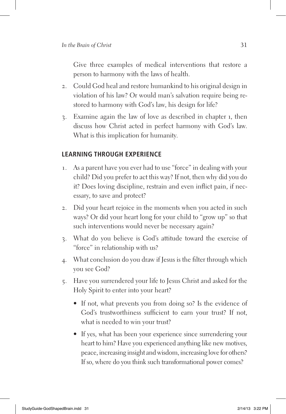Give three examples of medical interventions that restore a person to harmony with the laws of health.

- 2. Could God heal and restore humankind to his original design in violation of his law? Or would man's salvation require being restored to harmony with God's law, his design for life?
- 3. Examine again the law of love as described in chapter 1, then discuss how Christ acted in perfect harmony with God's law. What is this implication for humanity.

- 1. As a parent have you ever had to use "force" in dealing with your child? Did you prefer to act this way? If not, then why did you do it? Does loving discipline, restrain and even inflict pain, if necessary, to save and protect?
- 2. Did your heart rejoice in the moments when you acted in such ways? Or did your heart long for your child to "grow up" so that such interventions would never be necessary again?
- 3. What do you believe is God's attitude toward the exercise of "force" in relationship with us?
- 4. What conclusion do you draw if Jesus is the filter through which you see God?
- 5. Have you surrendered your life to Jesus Christ and asked for the Holy Spirit to enter into your heart?
	- If not, what prevents you from doing so? Is the evidence of God's trustworthiness sufficient to earn your trust? If not, what is needed to win your trust?
	- If yes, what has been your experience since surrendering your heart to him? Have you experienced anything like new motives, peace, increasing insight and wisdom, increasing love for others? If so, where do you think such transformational power comes?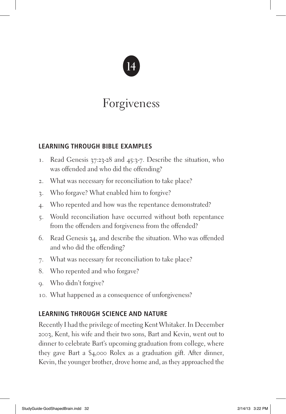### Forgiveness

### **Learning Through Bible Examples**

- 1. Read Genesis 37:23-28 and 45:3-7. Describe the situation, who was offended and who did the offending?
- 2. What was necessary for reconciliation to take place?
- 3. Who forgave? What enabled him to forgive?
- 4. Who repented and how was the repentance demonstrated?
- 5. Would reconciliation have occurred without both repentance from the offenders and forgiveness from the offended?
- 6. Read Genesis 34, and describe the situation. Who was offended and who did the offending?
- 7. What was necessary for reconciliation to take place?
- 8. Who repented and who forgave?
- 9. Who didn't forgive?
- 10. What happened as a consequence of unforgiveness?

### **Learning Through Science and Nature**

Recently I had the privilege of meeting Kent Whitaker. In December 2003, Kent, his wife and their two sons, Bart and Kevin, went out to dinner to celebrate Bart's upcoming graduation from college, where they gave Bart a \$4,000 Rolex as a graduation gift. After dinner, Kevin, the younger brother, drove home and, as they approached the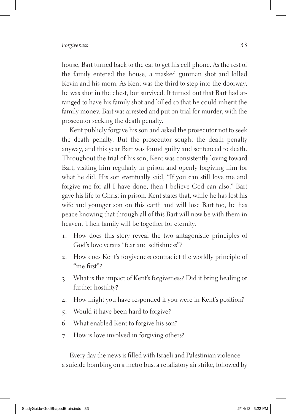house, Bart turned back to the car to get his cell phone. As the rest of the family entered the house, a masked gunman shot and killed Kevin and his mom. As Kent was the third to step into the doorway, he was shot in the chest, but survived. It turned out that Bart had arranged to have his family shot and killed so that he could inherit the family money. Bart was arrested and put on trial for murder, with the prosecutor seeking the death penalty.

Kent publicly forgave his son and asked the prosecutor not to seek the death penalty. But the prosecutor sought the death penalty anyway, and this year Bart was found guilty and sentenced to death. Throughout the trial of his son, Kent was consistently loving toward Bart, visiting him regularly in prison and openly forgiving him for what he did. His son eventually said, "If you can still love me and forgive me for all I have done, then I believe God can also." Bart gave his life to Christ in prison. Kent states that, while he has lost his wife and younger son on this earth and will lose Bart too, he has peace knowing that through all of this Bart will now be with them in heaven. Their family will be together for eternity.

- 1. How does this story reveal the two antagonistic principles of God's love versus "fear and selfishness"?
- 2. How does Kent's forgiveness contradict the worldly principle of "me first"?
- 3. What is the impact of Kent's forgiveness? Did it bring healing or further hostility?
- 4. How might you have responded if you were in Kent's position?
- 5. Would it have been hard to forgive?
- 6. What enabled Kent to forgive his son?
- 7. How is love involved in forgiving others?

Every day the news is filled with Israeli and Palestinian violence a suicide bombing on a metro bus, a retaliatory air strike, followed by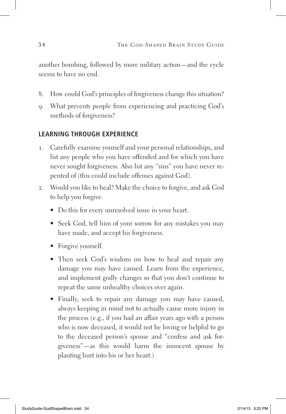another bombing, followed by more military action—and the cycle seems to have no end.

- 8. How could God's principles of forgiveness change this situation?
- 9. What prevents people from experiencing and practicing God's methods of forgiveness?

- 1. Carefully examine yourself and your personal relationships, and list any people who you have offended and for which you have never sought forgiveness. Also list any "sins" you have never repented of (this could include offenses against God).
- 2. Would you like to heal? Make the choice to forgive, and ask God to help you forgive.
	- Do this for every unresolved issue in your heart.
	- Seek God, tell him of your sorrow for any mistakes you may have made, and accept his forgiveness.
	- Forgive yourself.
	- Then seek God's wisdom on how to heal and repair any damage you may have caused. Learn from the experience, and implement godly changes so that you don't continue to repeat the same unhealthy choices over again.
	- Finally, seek to repair any damage you may have caused, always keeping in mind not to actually cause more injury in the process (e.g., if you had an affair years ago with a person who is now deceased, it would not be loving or helpful to go to the deceased person's spouse and "confess and ask forgiveness"—as this would harm the innocent spouse by planting hurt into his or her heart.)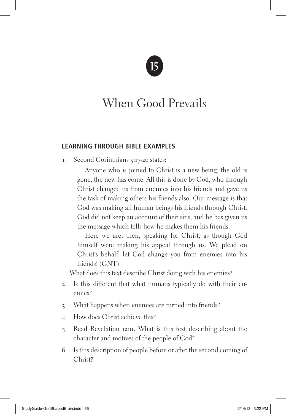### When Good Prevails

#### **Learning Through Bible Examples**

1. Second Corinthians 5:17-20 states:

Anyone who is joined to Christ is a new being; the old is gone, the new has come. All this is done by God, who through Christ changed us from enemies into his friends and gave us the task of making others his friends also. Our message is that God was making all human beings his friends through Christ. God did not keep an account of their sins, and he has given us the message which tells how he makes them his friends.

Here we are, then, speaking for Christ, as though God himself were making his appeal through us. We plead on Christ's behalf: let God change you from enemies into his friends! (GNT)

What does this text describe Christ doing with his enemies?

- 2. Is this different that what humans typically do with their enemies?
- 3. What happens when enemies are turned into friends?
- 4. How does Christ achieve this?
- 5. Read Revelation 12:11. What is this text describing about the character and motives of the people of God?
- 6. Is this description of people before or after the second coming of Christ?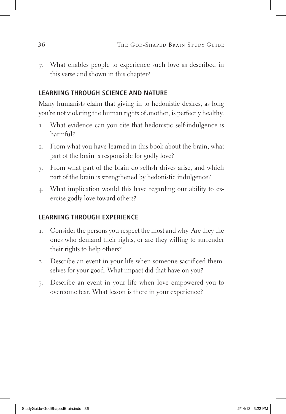7. What enables people to experience such love as described in this verse and shown in this chapter?

### **Learning Through Science and Nature**

Many humanists claim that giving in to hedonistic desires, as long you're not violating the human rights of another, is perfectly healthy.

- 1. What evidence can you cite that hedonistic self-indulgence is harmful?
- 2. From what you have learned in this book about the brain, what part of the brain is responsible for godly love?
- 3. From what part of the brain do selfish drives arise, and which part of the brain is strengthened by hedonistic indulgence?
- 4. What implication would this have regarding our ability to exercise godly love toward others?

- 1. Consider the persons you respect the most and why. Are they the ones who demand their rights, or are they willing to surrender their rights to help others?
- 2. Describe an event in your life when someone sacrificed themselves for your good. What impact did that have on you?
- 3. Describe an event in your life when love empowered you to overcome fear. What lesson is there in your experience?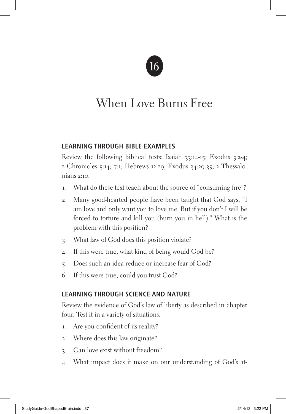### When Love Burns Free

### **Learning Through Bible Examples**

Review the following biblical texts: Isaiah 33:14-15; Exodus 3:2-4; 2 Chronicles 5:14; 7:1; Hebrews 12:29; Exodus 34:29-35; 2 Thessalonians 2:10.

- 1. What do these text teach about the source of "consuming fire"?
- 2. Many good-hearted people have been taught that God says, "I am love and only want you to love me. But if you don't I will be forced to torture and kill you (burn you in hell)." What is the problem with this position?
- 3. What law of God does this position violate?
- 4. If this were true, what kind of being would God be?
- 5. Does such an idea reduce or increase fear of God?
- 6. If this were true, could you trust God?

### **Learning Through Science and Nature**

Review the evidence of God's law of liberty as described in chapter four. Test it in a variety of situations.

- 1. Are you confident of its reality?
- 2. Where does this law originate?
- 3. Can love exist without freedom?
- 4. What impact does it make on our understanding of God's at-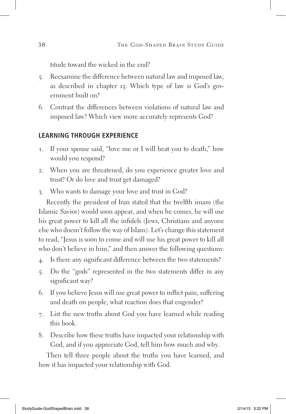titude toward the wicked in the end?

- 5. Reexamine the difference between natural law and imposed law, as described in chapter 13. Which type of law is God's government built on?
- 6. Contrast the differences between violations of natural law and imposed law? Which view more accurately represents God?

### **Learning Through Experience**

- 1. If your spouse said, "love me or I will beat you to death," how would you respond?
- 2. When you are threatened, do you experience greater love and trust? Or do love and trust get damaged?
- 3. Who wants to damage your love and trust in God?

Recently the president of Iran stated that the twelfth imam (the Islamic Savior) would soon appear, and when he comes, he will use his great power to kill all the infidels (Jews, Christians and anyone else who doesn't follow the way of Islam). Let's change this statement to read, "Jesus is soon to come and will use his great power to kill all who don't believe in him," and then answer the following questions:

- 4. Is there any significant difference between the two statements?
- 5. Do the "gods" represented in the two statements differ in any significant way?
- 6. If you believe Jesus will use great power to inflict pain, suffering and death on people, what reaction does that engender?
- 7. List the new truths about God you have learned while reading this book.
- 8. Describe how these truths have impacted your relationship with God, and if you appreciate God, tell him how much and why.

Then tell three people about the truths you have learned, and how it has impacted your relationship with God.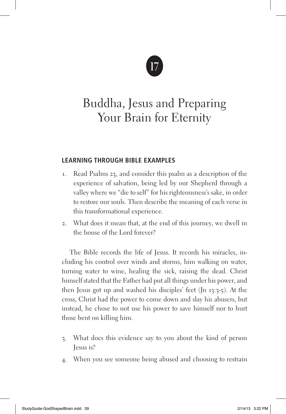### Buddha, Jesus and Preparing Your Brain for Eternity

### **Learning Through Bible Examples**

- 1. Read Psalms 23, and consider this psalm as a description of the experience of salvation, being led by our Shepherd through a valley where we "die to self" for his righteousness's sake, in order to restore our souls. Then describe the meaning of each verse in this transformational experience.
- 2. What does it mean that, at the end of this journey, we dwell in the house of the Lord forever?

The Bible records the life of Jesus. It records his miracles, including his control over winds and storms, him walking on water, turning water to wine, healing the sick, raising the dead. Christ himself stated that the Father had put all things under his power, and then Jesus got up and washed his disciples' feet (Jn 13:3-5). At the cross, Christ had the power to come down and slay his abusers, but instead, he chose to not use his power to save himself nor to hurt those bent on killing him.

- 3. What does this evidence say to you about the kind of person Jesus is?
- 4. When you see someone being abused and choosing to restrain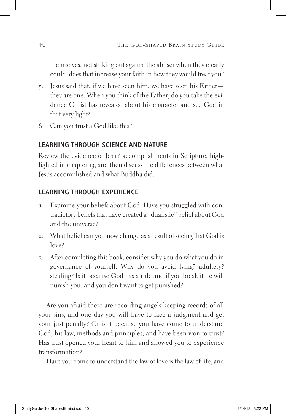themselves, not striking out against the abuser when they clearly could, does that increase your faith in how they would treat you?

- 5. Jesus said that, if we have seen him, we have seen his Father they are one. When you think of the Father, do you take the evidence Christ has revealed about his character and see God in that very light?
- 6. Can you trust a God like this?

### **Learning Through Science and Nature**

Review the evidence of Jesus' accomplishments in Scripture, highlighted in chapter 13, and then discuss the differences between what Jesus accomplished and what Buddha did.

### **Learning Through Experience**

- 1. Examine your beliefs about God. Have you struggled with contradictory beliefs that have created a "dualistic" belief about God and the universe?
- 2. What belief can you now change as a result of seeing that God is  $low<sub>e</sub>$ ?
- 3. After completing this book, consider why you do what you do in governance of yourself. Why do you avoid lying? adultery? stealing? Is it because God has a rule and if you break it he will punish you, and you don't want to get punished?

Are you afraid there are recording angels keeping records of all your sins, and one day you will have to face a judgment and get your just penalty? Or is it because you have come to understand God, his law, methods and principles, and have been won to trust? Has trust opened your heart to him and allowed you to experience transformation?

Have you come to understand the law of love is the law of life, and